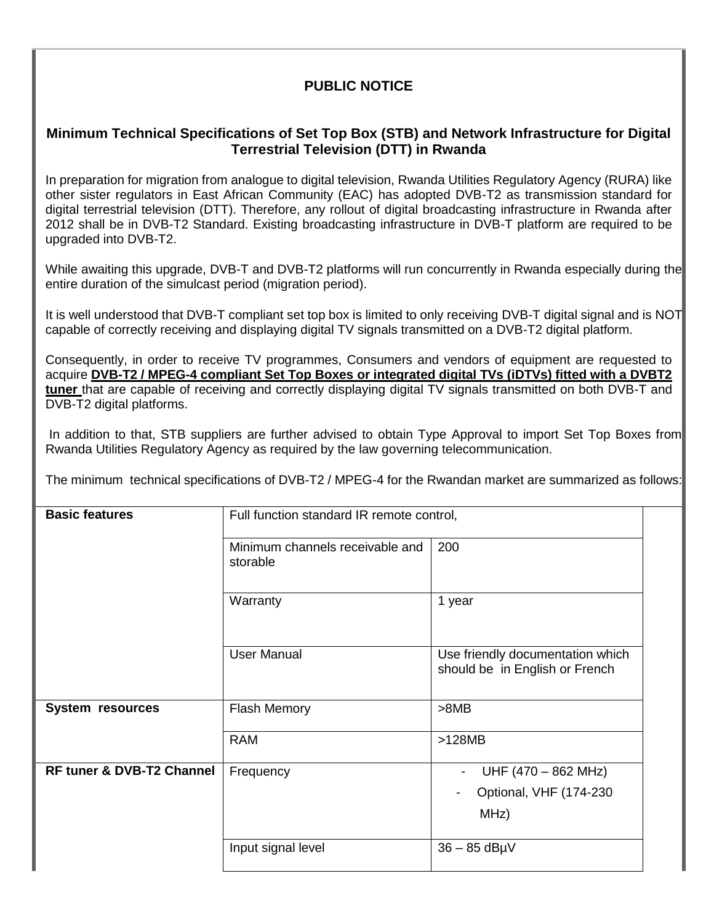## **PUBLIC NOTICE**

## **Minimum Technical Specifications of Set Top Box (STB) and Network Infrastructure for Digital Terrestrial Television (DTT) in Rwanda**

In preparation for migration from analogue to digital television, Rwanda Utilities Regulatory Agency (RURA) like other sister regulators in East African Community (EAC) has adopted DVB-T2 as transmission standard for digital terrestrial television (DTT). Therefore, any rollout of digital broadcasting infrastructure in Rwanda after 2012 shall be in DVB-T2 Standard. Existing broadcasting infrastructure in DVB-T platform are required to be upgraded into DVB-T2.

While awaiting this upgrade, DVB-T and DVB-T2 platforms will run concurrently in Rwanda especially during the entire duration of the simulcast period (migration period).

It is well understood that DVB-T compliant set top box is limited to only receiving DVB-T digital signal and is NOT capable of correctly receiving and displaying digital TV signals transmitted on a DVB-T2 digital platform.

Consequently, in order to receive TV programmes, Consumers and vendors of equipment are requested to acquire **DVB-T2 / MPEG-4 compliant Set Top Boxes or integrated digital TVs (iDTVs) fitted with a DVBT2 tuner** that are capable of receiving and correctly displaying digital TV signals transmitted on both DVB-T and DVB-T2 digital platforms.

In addition to that, STB suppliers are further advised to obtain Type Approval to import Set Top Boxes from Rwanda Utilities Regulatory Agency as required by the law governing telecommunication.

The minimum technical specifications of DVB-T2 / MPEG-4 for the Rwandan market are summarized as follows:

| <b>Basic features</b>                | Full function standard IR remote control,   |                                                                                   |
|--------------------------------------|---------------------------------------------|-----------------------------------------------------------------------------------|
|                                      | Minimum channels receivable and<br>storable | 200                                                                               |
|                                      | Warranty                                    | 1 year                                                                            |
|                                      | <b>User Manual</b>                          | Use friendly documentation which<br>should be in English or French                |
| <b>System resources</b>              | <b>Flash Memory</b>                         | >8MB                                                                              |
|                                      | <b>RAM</b>                                  | $>128MB$                                                                          |
| <b>RF tuner &amp; DVB-T2 Channel</b> | Frequency                                   | UHF (470 - 862 MHz)<br>$\overline{\phantom{a}}$<br>Optional, VHF (174-230<br>MHz) |
|                                      | Input signal level                          | $36 - 85$ dB $\mu$ V                                                              |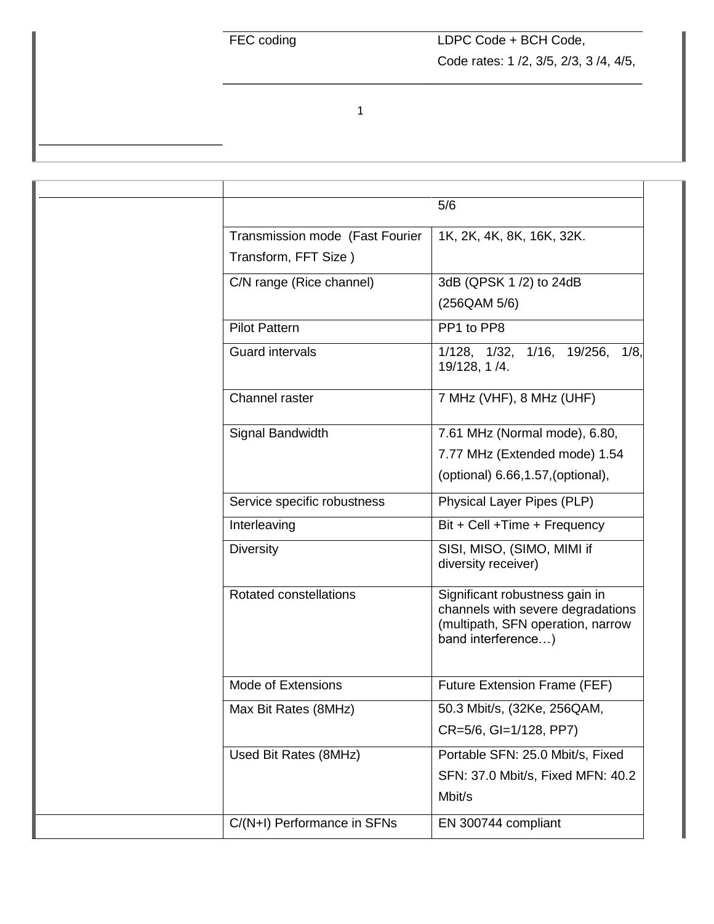1

|                                                         | 5/6                                                                                                                            |
|---------------------------------------------------------|--------------------------------------------------------------------------------------------------------------------------------|
| Transmission mode (Fast Fourier<br>Transform, FFT Size) | 1K, 2K, 4K, 8K, 16K, 32K.                                                                                                      |
| C/N range (Rice channel)                                | 3dB (QPSK 1/2) to 24dB<br>(256QAM 5/6)                                                                                         |
| <b>Pilot Pattern</b>                                    | PP1 to PP8                                                                                                                     |
| <b>Guard intervals</b>                                  | 1/128, 1/32, 1/16, 19/256, 1/8,<br>19/128, 1 /4.                                                                               |
| Channel raster                                          | 7 MHz (VHF), 8 MHz (UHF)                                                                                                       |
| Signal Bandwidth                                        | 7.61 MHz (Normal mode), 6.80,<br>7.77 MHz (Extended mode) 1.54<br>(optional) 6.66, 1.57, (optional),                           |
| Service specific robustness                             | Physical Layer Pipes (PLP)                                                                                                     |
| Interleaving                                            | Bit + Cell + Time + Frequency                                                                                                  |
| <b>Diversity</b>                                        | SISI, MISO, (SIMO, MIMI if<br>diversity receiver)                                                                              |
| <b>Rotated constellations</b>                           | Significant robustness gain in<br>channels with severe degradations<br>(multipath, SFN operation, narrow<br>band interference) |
| Mode of Extensions                                      | <b>Future Extension Frame (FEF)</b>                                                                                            |
| Max Bit Rates (8MHz)                                    | 50.3 Mbit/s, (32Ke, 256QAM,<br>CR=5/6, GI=1/128, PP7)                                                                          |
| Used Bit Rates (8MHz)                                   | Portable SFN: 25.0 Mbit/s, Fixed<br>SFN: 37.0 Mbit/s, Fixed MFN: 40.2<br>Mbit/s                                                |
| C/(N+I) Performance in SFNs                             | EN 300744 compliant                                                                                                            |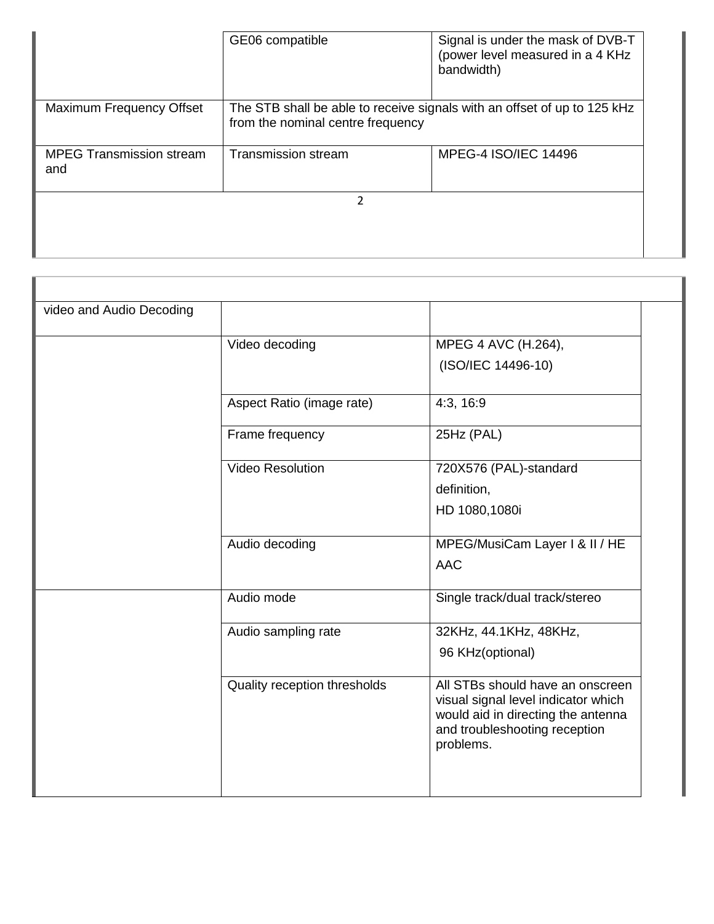|                                        | GE06 compatible                                                                                               | Signal is under the mask of DVB-T<br>(power level measured in a 4 KHz)<br>bandwidth) |
|----------------------------------------|---------------------------------------------------------------------------------------------------------------|--------------------------------------------------------------------------------------|
| Maximum Frequency Offset               | The STB shall be able to receive signals with an offset of up to 125 kHz<br>from the nominal centre frequency |                                                                                      |
| <b>MPEG Transmission stream</b><br>and | <b>Transmission stream</b>                                                                                    | MPEG-4 ISO/IEC 14496                                                                 |
|                                        |                                                                                                               |                                                                                      |

т

| video and Audio Decoding |                              |                                                                                                                                                             |  |
|--------------------------|------------------------------|-------------------------------------------------------------------------------------------------------------------------------------------------------------|--|
|                          | Video decoding               | MPEG 4 AVC (H.264),                                                                                                                                         |  |
|                          |                              | (ISO/IEC 14496-10)                                                                                                                                          |  |
|                          |                              |                                                                                                                                                             |  |
|                          | Aspect Ratio (image rate)    | 4:3, 16:9                                                                                                                                                   |  |
|                          | Frame frequency              | 25Hz (PAL)                                                                                                                                                  |  |
|                          | <b>Video Resolution</b>      | 720X576 (PAL)-standard                                                                                                                                      |  |
|                          |                              | definition,                                                                                                                                                 |  |
|                          |                              | HD 1080,1080i                                                                                                                                               |  |
|                          | Audio decoding               | MPEG/MusiCam Layer I & II / HE                                                                                                                              |  |
|                          |                              | <b>AAC</b>                                                                                                                                                  |  |
|                          | Audio mode                   | Single track/dual track/stereo                                                                                                                              |  |
|                          | Audio sampling rate          | 32KHz, 44.1KHz, 48KHz,                                                                                                                                      |  |
|                          |                              | 96 KHz(optional)                                                                                                                                            |  |
|                          | Quality reception thresholds | All STBs should have an onscreen<br>visual signal level indicator which<br>would aid in directing the antenna<br>and troubleshooting reception<br>problems. |  |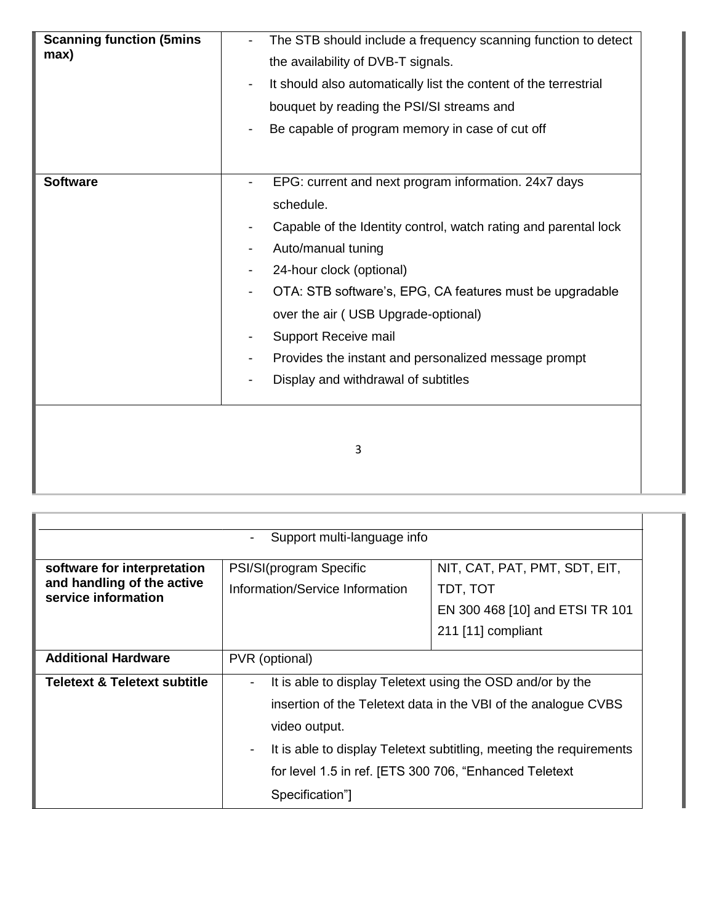| <b>Scanning function (5mins)</b><br>max) | The STB should include a frequency scanning function to detect<br>the availability of DVB-T signals.<br>It should also automatically list the content of the terrestrial<br>bouquet by reading the PSI/SI streams and<br>Be capable of program memory in case of cut off                                                                                                                                         |
|------------------------------------------|------------------------------------------------------------------------------------------------------------------------------------------------------------------------------------------------------------------------------------------------------------------------------------------------------------------------------------------------------------------------------------------------------------------|
| <b>Software</b>                          | EPG: current and next program information. 24x7 days<br>schedule.<br>Capable of the Identity control, watch rating and parental lock<br>Auto/manual tuning<br>24-hour clock (optional)<br>OTA: STB software's, EPG, CA features must be upgradable<br>over the air (USB Upgrade-optional)<br>Support Receive mail<br>Provides the instant and personalized message prompt<br>Display and withdrawal of subtitles |
|                                          | 3                                                                                                                                                                                                                                                                                                                                                                                                                |

| Support multi-language info                                                      |                                                                                                                                                                                                                                                                                                                                                          |                                                                                                    |  |
|----------------------------------------------------------------------------------|----------------------------------------------------------------------------------------------------------------------------------------------------------------------------------------------------------------------------------------------------------------------------------------------------------------------------------------------------------|----------------------------------------------------------------------------------------------------|--|
| software for interpretation<br>and handling of the active<br>service information | PSI/SI(program Specific<br>Information/Service Information                                                                                                                                                                                                                                                                                               | NIT, CAT, PAT, PMT, SDT, EIT,<br>TDT, TOT<br>EN 300 468 [10] and ETSI TR 101<br>211 [11] compliant |  |
| <b>Additional Hardware</b>                                                       | PVR (optional)                                                                                                                                                                                                                                                                                                                                           |                                                                                                    |  |
| Teletext & Teletext subtitle                                                     | It is able to display Teletext using the OSD and/or by the<br>$\overline{\phantom{a}}$<br>insertion of the Teletext data in the VBI of the analogue CVBS<br>video output.<br>It is able to display Teletext subtitling, meeting the requirements<br>$\overline{\phantom{a}}$<br>for level 1.5 in ref. [ETS 300 706, "Enhanced Teletext<br>Specification" |                                                                                                    |  |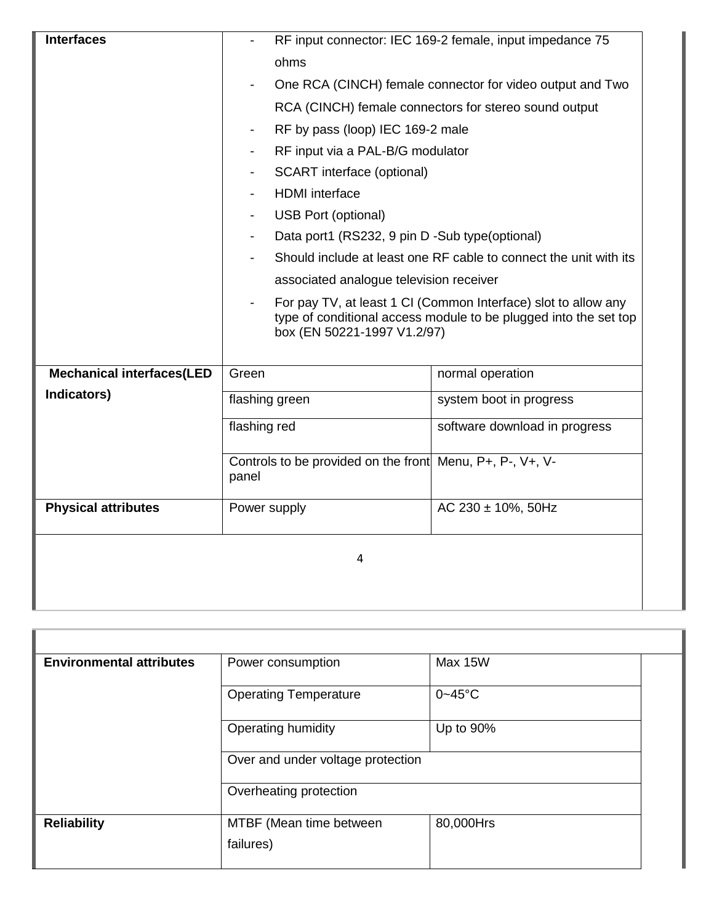| <b>Interfaces</b>                | RF input connector: IEC 169-2 female, input impedance 75                                                                                                          |  |
|----------------------------------|-------------------------------------------------------------------------------------------------------------------------------------------------------------------|--|
|                                  | ohms                                                                                                                                                              |  |
|                                  | One RCA (CINCH) female connector for video output and Two                                                                                                         |  |
|                                  | RCA (CINCH) female connectors for stereo sound output                                                                                                             |  |
|                                  | RF by pass (loop) IEC 169-2 male                                                                                                                                  |  |
|                                  | RF input via a PAL-B/G modulator                                                                                                                                  |  |
|                                  | <b>SCART</b> interface (optional)                                                                                                                                 |  |
|                                  | <b>HDMI</b> interface                                                                                                                                             |  |
|                                  | <b>USB Port (optional)</b>                                                                                                                                        |  |
|                                  | Data port1 (RS232, 9 pin D -Sub type (optional)                                                                                                                   |  |
|                                  | Should include at least one RF cable to connect the unit with its                                                                                                 |  |
|                                  | associated analogue television receiver                                                                                                                           |  |
|                                  | For pay TV, at least 1 CI (Common Interface) slot to allow any<br>type of conditional access module to be plugged into the set top<br>box (EN 50221-1997 V1.2/97) |  |
| <b>Mechanical interfaces(LED</b> | Green<br>normal operation                                                                                                                                         |  |
| Indicators)                      | flashing green<br>system boot in progress                                                                                                                         |  |
|                                  | flashing red<br>software download in progress                                                                                                                     |  |
|                                  | Controls to be provided on the front Menu, $P_{+}$ , $P_{-}$ , $V_{+}$ , $V_{-}$<br>panel                                                                         |  |
| <b>Physical attributes</b>       | AC 230 ± 10%, 50Hz<br>Power supply                                                                                                                                |  |
| 4                                |                                                                                                                                                                   |  |

| <b>Environmental attributes</b> | Power consumption                    | Max 15W     |
|---------------------------------|--------------------------------------|-------------|
|                                 | <b>Operating Temperature</b>         | $0 - 45$ °C |
|                                 | Operating humidity                   | Up to 90%   |
|                                 | Over and under voltage protection    |             |
|                                 | Overheating protection               |             |
| <b>Reliability</b>              | MTBF (Mean time between<br>failures) | 80,000Hrs   |